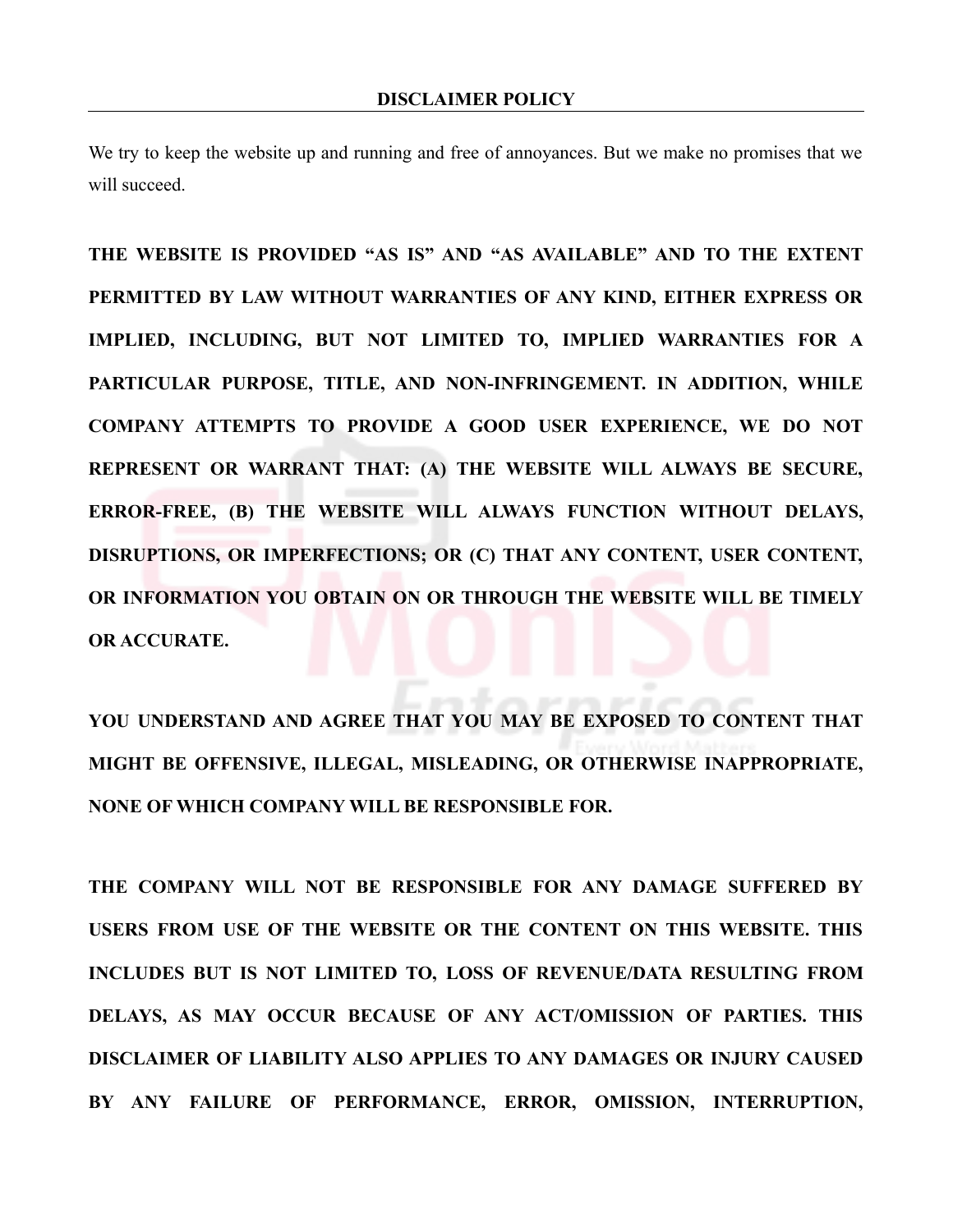We try to keep the website up and running and free of annoyances. But we make no promises that we will succeed.

**THE WEBSITE IS PROVIDED "AS IS" AND "AS AVAILABLE" AND TO THE EXTENT PERMITTED BY LAW WITHOUT WARRANTIES OF ANY KIND, EITHER EXPRESS OR IMPLIED, INCLUDING, BUT NOT LIMITED TO, IMPLIED WARRANTIES FOR A PARTICULAR PURPOSE, TITLE, AND NON-INFRINGEMENT. IN ADDITION, WHILE COMPANY ATTEMPTS TO PROVIDE A GOOD USER EXPERIENCE, WE DO NOT REPRESENT OR WARRANT THAT: (A) THE WEBSITE WILL ALWAYS BE SECURE, ERROR-FREE, (B) THE WEBSITE WILL ALWAYS FUNCTION WITHOUT DELAYS, DISRUPTIONS, OR IMPERFECTIONS; OR (C) THAT ANY CONTENT, USER CONTENT, OR INFORMATION YOU OBTAIN ON OR THROUGH THE WEBSITE WILL BE TIMELY OR ACCURATE.**

**YOU UNDERSTAND AND AGREE THAT YOU MAY BE EXPOSED TO CONTENT THAT MIGHT BE OFFENSIVE, ILLEGAL, MISLEADING, OR OTHERWISE INAPPROPRIATE, NONE OF WHICH COMPANY WILL BE RESPONSIBLE FOR.**

**THE COMPANY WILL NOT BE RESPONSIBLE FOR ANY DAMAGE SUFFERED BY USERS FROM USE OF THE WEBSITE OR THE CONTENT ON THIS WEBSITE. THIS INCLUDES BUT IS NOT LIMITED TO, LOSS OF REVENUE/DATA RESULTING FROM DELAYS, AS MAY OCCUR BECAUSE OF ANY ACT/OMISSION OF PARTIES. THIS DISCLAIMER OF LIABILITY ALSO APPLIES TO ANY DAMAGES OR INJURY CAUSED BY ANY FAILURE OF PERFORMANCE, ERROR, OMISSION, INTERRUPTION,**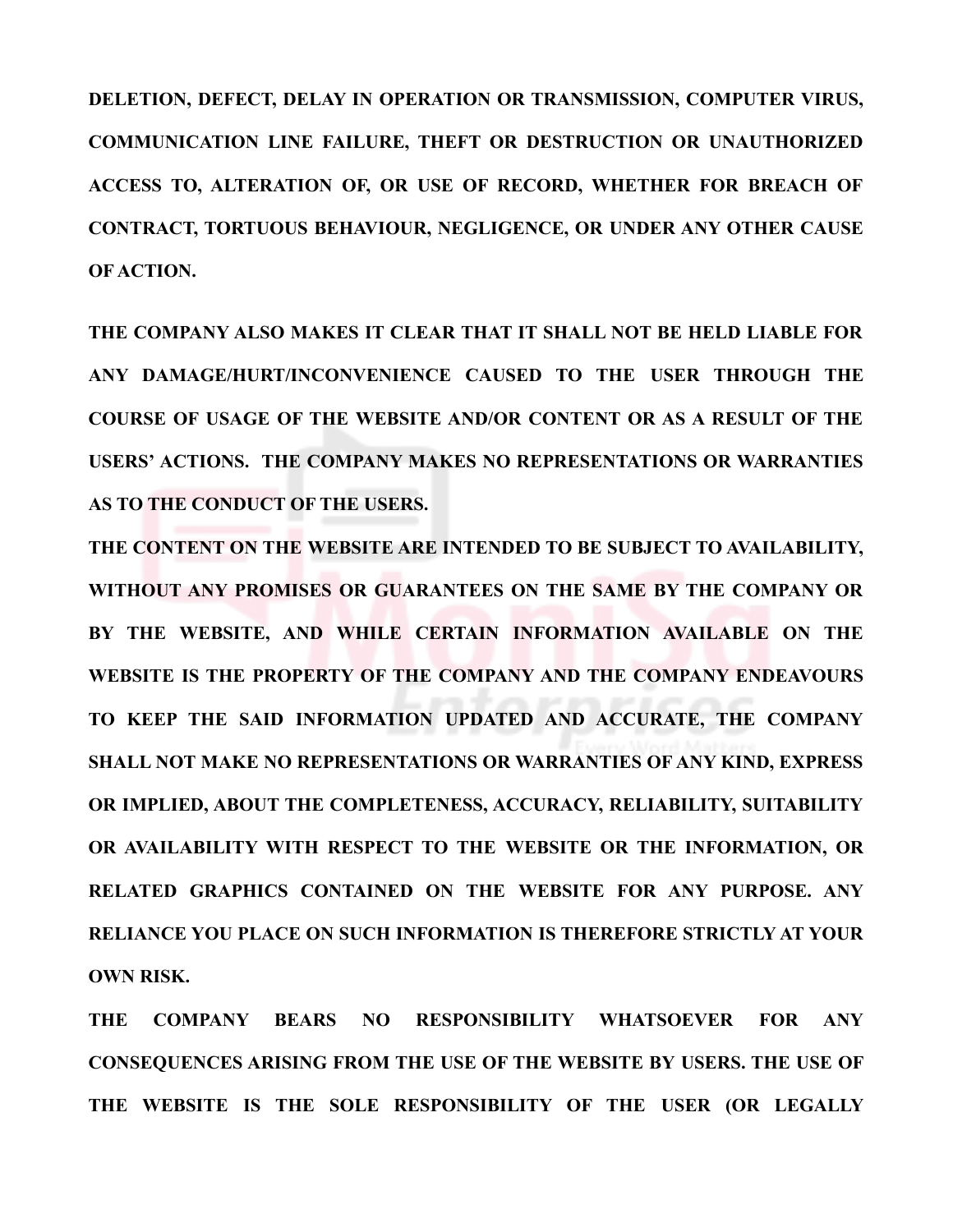**DELETION, DEFECT, DELAY IN OPERATION OR TRANSMISSION, COMPUTER VIRUS, COMMUNICATION LINE FAILURE, THEFT OR DESTRUCTION OR UNAUTHORIZED ACCESS TO, ALTERATION OF, OR USE OF RECORD, WHETHER FOR BREACH OF CONTRACT, TORTUOUS BEHAVIOUR, NEGLIGENCE, OR UNDER ANY OTHER CAUSE OF ACTION.**

**THE COMPANY ALSO MAKES IT CLEAR THAT IT SHALL NOT BE HELD LIABLE FOR ANY DAMAGE/HURT/INCONVENIENCE CAUSED TO THE USER THROUGH THE COURSE OF USAGE OF THE WEBSITE AND/OR CONTENT OR AS A RESULT OF THE USERS' ACTIONS. THE COMPANY MAKES NO REPRESENTATIONS OR WARRANTIES AS TO THE CONDUCT OF THE USERS.** 

**THE CONTENT ON THE WEBSITE ARE INTENDED TO BE SUBJECT TO AVAILABILITY, WITHOUT ANY PROMISES OR GUARANTEES ON THE SAME BY THE COMPANY OR BY THE WEBSITE, AND WHILE CERTAIN INFORMATION AVAILABLE ON THE WEBSITE IS THE PROPERTY OF THE COMPANY AND THE COMPANY ENDEAVOURS TO KEEP THE SAID INFORMATION UPDATED AND ACCURATE, THE COMPANY SHALL NOT MAKE NO REPRESENTATIONS OR WARRANTIES OF ANY KIND, EXPRESS OR IMPLIED, ABOUT THE COMPLETENESS, ACCURACY, RELIABILITY, SUITABILITY OR AVAILABILITY WITH RESPECT TO THE WEBSITE OR THE INFORMATION, OR RELATED GRAPHICS CONTAINED ON THE WEBSITE FOR ANY PURPOSE. ANY RELIANCE YOU PLACE ON SUCH INFORMATION IS THEREFORE STRICTLY AT YOUR OWN RISK.**

**THE COMPANY BEARS NO RESPONSIBILITY WHATSOEVER FOR ANY CONSEQUENCES ARISING FROM THE USE OF THE WEBSITE BY USERS. THE USE OF THE WEBSITE IS THE SOLE RESPONSIBILITY OF THE USER (OR LEGALLY**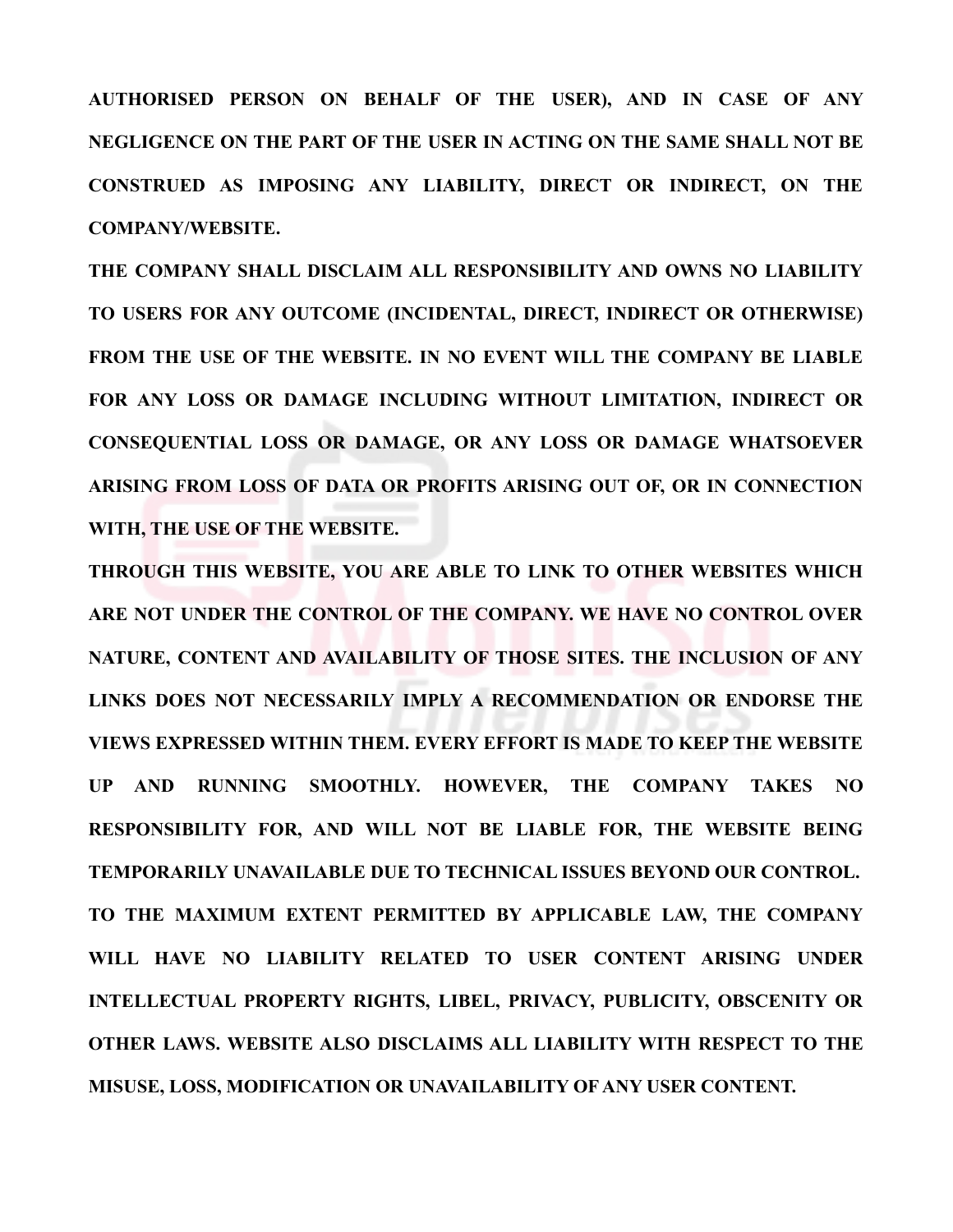**AUTHORISED PERSON ON BEHALF OF THE USER), AND IN CASE OF ANY NEGLIGENCE ON THE PART OF THE USER IN ACTING ON THE SAME SHALL NOT BE CONSTRUED AS IMPOSING ANY LIABILITY, DIRECT OR INDIRECT, ON THE COMPANY/WEBSITE.** 

**THE COMPANY SHALL DISCLAIM ALL RESPONSIBILITY AND OWNS NO LIABILITY TO USERS FOR ANY OUTCOME (INCIDENTAL, DIRECT, INDIRECT OR OTHERWISE) FROM THE USE OF THE WEBSITE. IN NO EVENT WILL THE COMPANY BE LIABLE FOR ANY LOSS OR DAMAGE INCLUDING WITHOUT LIMITATION, INDIRECT OR CONSEQUENTIAL LOSS OR DAMAGE, OR ANY LOSS OR DAMAGE WHATSOEVER ARISING FROM LOSS OF DATA OR PROFITS ARISING OUT OF, OR IN CONNECTION WITH, THE USE OF THE WEBSITE.** 

**THROUGH THIS WEBSITE, YOU ARE ABLE TO LINK TO OTHER WEBSITES WHICH ARE NOT UNDER THE CONTROL OF THE COMPANY. WE HAVE NO CONTROL OVER NATURE, CONTENT AND AVAILABILITY OF THOSE SITES. THE INCLUSION OF ANY LINKS DOES NOT NECESSARILY IMPLY A RECOMMENDATION OR ENDORSE THE VIEWS EXPRESSED WITHIN THEM. EVERY EFFORT IS MADE TO KEEP THE WEBSITE UP AND RUNNING SMOOTHLY. HOWEVER, THE COMPANY TAKES NO RESPONSIBILITY FOR, AND WILL NOT BE LIABLE FOR, THE WEBSITE BEING TEMPORARILY UNAVAILABLE DUE TO TECHNICAL ISSUES BEYOND OUR CONTROL. TO THE MAXIMUM EXTENT PERMITTED BY APPLICABLE LAW, THE COMPANY WILL HAVE NO LIABILITY RELATED TO USER CONTENT ARISING UNDER INTELLECTUAL PROPERTY RIGHTS, LIBEL, PRIVACY, PUBLICITY, OBSCENITY OR OTHER LAWS. WEBSITE ALSO DISCLAIMS ALL LIABILITY WITH RESPECT TO THE MISUSE, LOSS, MODIFICATION OR UNAVAILABILITY OF ANY USER CONTENT.**